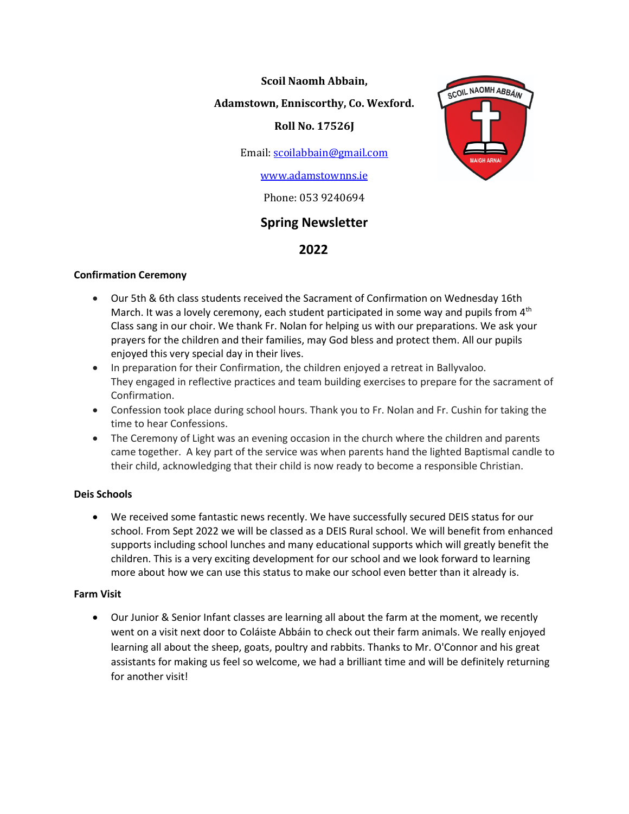**Scoil Naomh Abbain,**

## **Adamstown, Enniscorthy, Co. Wexford.**

## **Roll No. 17526J**

Email[: scoilabbain@gmail.com](mailto:scoilabbain@gmail.com)

## [www.adamstownns.ie](http://www.adamstownns.ie/)

Phone: 053 9240694

# **Spring Newsletter**

## **2022**

## **Confirmation Ceremony**

- Our 5th & 6th class students received the Sacrament of Confirmation on Wednesday 16th March. It was a lovely ceremony, each student participated in some way and pupils from  $4<sup>th</sup>$ Class sang in our choir. We thank Fr. Nolan for helping us with our preparations. We ask your prayers for the children and their families, may God bless and protect them. All our pupils enjoyed this very special day in their lives.
- In preparation for their Confirmation, the children enjoyed a retreat in Ballyvaloo. They engaged in reflective practices and team building exercises to prepare for the sacrament of Confirmation.
- Confession took place during school hours. Thank you to Fr. Nolan and Fr. Cushin for taking the time to hear Confessions.
- The Ceremony of Light was an evening occasion in the church where the children and parents came together. A key part of the service was when parents hand the lighted Baptismal candle to their child, acknowledging that their child is now ready to become a responsible Christian.

#### **Deis Schools**

• We received some fantastic news recently. We have successfully secured DEIS status for our school. From Sept 2022 we will be classed as a DEIS Rural school. We will benefit from enhanced supports including school lunches and many educational supports which will greatly benefit the children. This is a very exciting development for our school and we look forward to learning more about how we can use this status to make our school even better than it already is.

#### **Farm Visit**

• Our Junior & Senior Infant classes are learning all about the farm at the moment, we recently went on a visit next door to Coláiste Abbáin to check out their farm animals. We really enjoyed learning all about the sheep, goats, poultry and rabbits. Thanks to Mr. O'Connor and his great assistants for making us feel so welcome, we had a brilliant time and will be definitely returning for another visit!

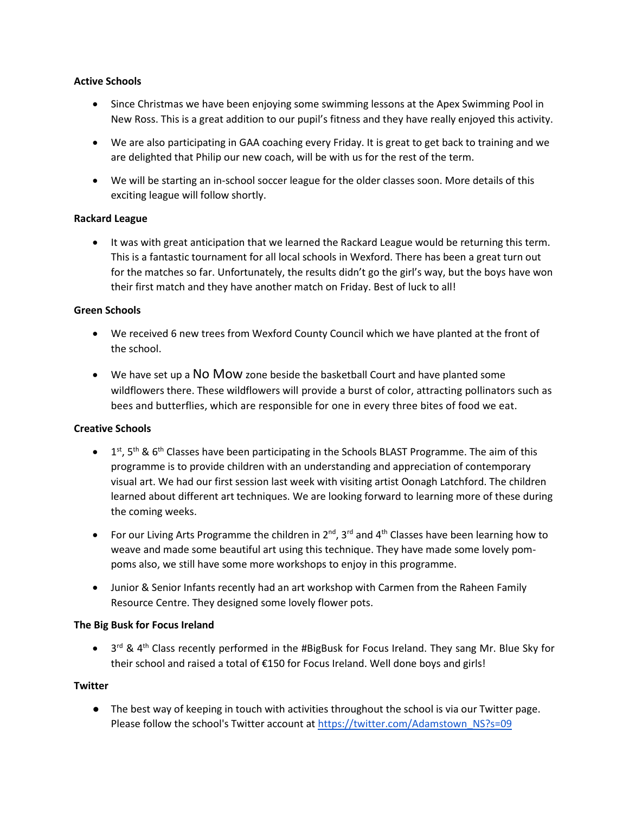#### **Active Schools**

- Since Christmas we have been enjoying some swimming lessons at the Apex Swimming Pool in New Ross. This is a great addition to our pupil's fitness and they have really enjoyed this activity.
- We are also participating in GAA coaching every Friday. It is great to get back to training and we are delighted that Philip our new coach, will be with us for the rest of the term.
- We will be starting an in-school soccer league for the older classes soon. More details of this exciting league will follow shortly.

#### **Rackard League**

• It was with great anticipation that we learned the Rackard League would be returning this term. This is a fantastic tournament for all local schools in Wexford. There has been a great turn out for the matches so far. Unfortunately, the results didn't go the girl's way, but the boys have won their first match and they have another match on Friday. Best of luck to all!

#### **Green Schools**

- We received 6 new trees from Wexford County Council which we have planted at the front of the school.
- We have set up a NO MOW zone beside the basketball Court and have planted some wildflowers there. These wildflowers will provide a burst of color, attracting pollinators such as bees and butterflies, which are responsible for one in [every](https://www.ree.usda.gov/pollinators#:~:text=Pollinators,%20most%20often%20honey%20bees,decades%20in%20the%20United%20States.) three bites of food we eat.

#### **Creative Schools**

- $\bullet$  1<sup>st</sup>, 5<sup>th</sup> & 6<sup>th</sup> Classes have been participating in the Schools BLAST Programme. The aim of this programme is to provide children with an understanding and appreciation of contemporary visual art. We had our first session last week with visiting artist Oonagh Latchford. The children learned about different art techniques. We are looking forward to learning more of these during the coming weeks.
- For our Living Arts Programme the children in  $2^{nd}$ ,  $3^{rd}$  and  $4^{th}$  Classes have been learning how to weave and made some beautiful art using this technique. They have made some lovely pompoms also, we still have some more workshops to enjoy in this programme.
- Junior & Senior Infants recently had an art workshop with Carmen from the Raheen Family Resource Centre. They designed some lovely flower pots.

#### **The Big Busk for Focus Ireland**

• 3<sup>rd</sup> & 4<sup>th</sup> Class recently performed in the #BigBusk for Focus Ireland. They sang Mr. Blue Sky for their school and raised a total of €150 for Focus Ireland. Well done boys and girls!

#### **Twitter**

● The best way of keeping in touch with activities throughout the school is via our Twitter page. Please follow the school's Twitter account at [https://twitter.com/Adamstown\\_NS?s=09](https://twitter.com/Adamstown_NS?s=09)